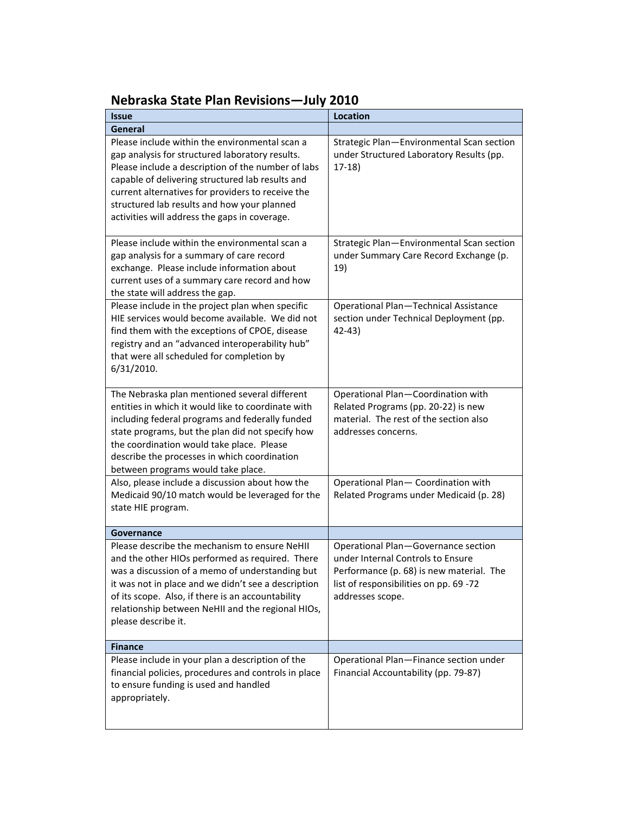## **Nebraska State Plan Revisions—July 2010**

| <b>Issue</b>                                                                                                                                                                                                                                                                                                                                                     | Location                                                                                                                                                                           |
|------------------------------------------------------------------------------------------------------------------------------------------------------------------------------------------------------------------------------------------------------------------------------------------------------------------------------------------------------------------|------------------------------------------------------------------------------------------------------------------------------------------------------------------------------------|
| General                                                                                                                                                                                                                                                                                                                                                          |                                                                                                                                                                                    |
| Please include within the environmental scan a<br>gap analysis for structured laboratory results.<br>Please include a description of the number of labs<br>capable of delivering structured lab results and<br>current alternatives for providers to receive the<br>structured lab results and how your planned<br>activities will address the gaps in coverage. | Strategic Plan-Environmental Scan section<br>under Structured Laboratory Results (pp.<br>$17-18$                                                                                   |
| Please include within the environmental scan a<br>gap analysis for a summary of care record<br>exchange. Please include information about<br>current uses of a summary care record and how<br>the state will address the gap.                                                                                                                                    | Strategic Plan-Environmental Scan section<br>under Summary Care Record Exchange (p.<br>19)                                                                                         |
| Please include in the project plan when specific<br>HIE services would become available. We did not<br>find them with the exceptions of CPOE, disease<br>registry and an "advanced interoperability hub"<br>that were all scheduled for completion by<br>6/31/2010.                                                                                              | Operational Plan-Technical Assistance<br>section under Technical Deployment (pp.<br>$42 - 43$                                                                                      |
| The Nebraska plan mentioned several different<br>entities in which it would like to coordinate with<br>including federal programs and federally funded<br>state programs, but the plan did not specify how<br>the coordination would take place. Please<br>describe the processes in which coordination<br>between programs would take place.                    | Operational Plan-Coordination with<br>Related Programs (pp. 20-22) is new<br>material. The rest of the section also<br>addresses concerns.                                         |
| Also, please include a discussion about how the<br>Medicaid 90/10 match would be leveraged for the<br>state HIE program.                                                                                                                                                                                                                                         | Operational Plan- Coordination with<br>Related Programs under Medicaid (p. 28)                                                                                                     |
| Governance                                                                                                                                                                                                                                                                                                                                                       |                                                                                                                                                                                    |
| Please describe the mechanism to ensure NeHII<br>and the other HIOs performed as required. There<br>was a discussion of a memo of understanding but<br>it was not in place and we didn't see a description<br>of its scope. Also, if there is an accountability<br>relationship between NeHII and the regional HIOs,<br>please describe it.                      | Operational Plan-Governance section<br>under Internal Controls to Ensure<br>Performance (p. 68) is new material. The<br>list of responsibilities on pp. 69 -72<br>addresses scope. |
| <b>Finance</b>                                                                                                                                                                                                                                                                                                                                                   |                                                                                                                                                                                    |
| Please include in your plan a description of the<br>financial policies, procedures and controls in place<br>to ensure funding is used and handled<br>appropriately.                                                                                                                                                                                              | Operational Plan-Finance section under<br>Financial Accountability (pp. 79-87)                                                                                                     |